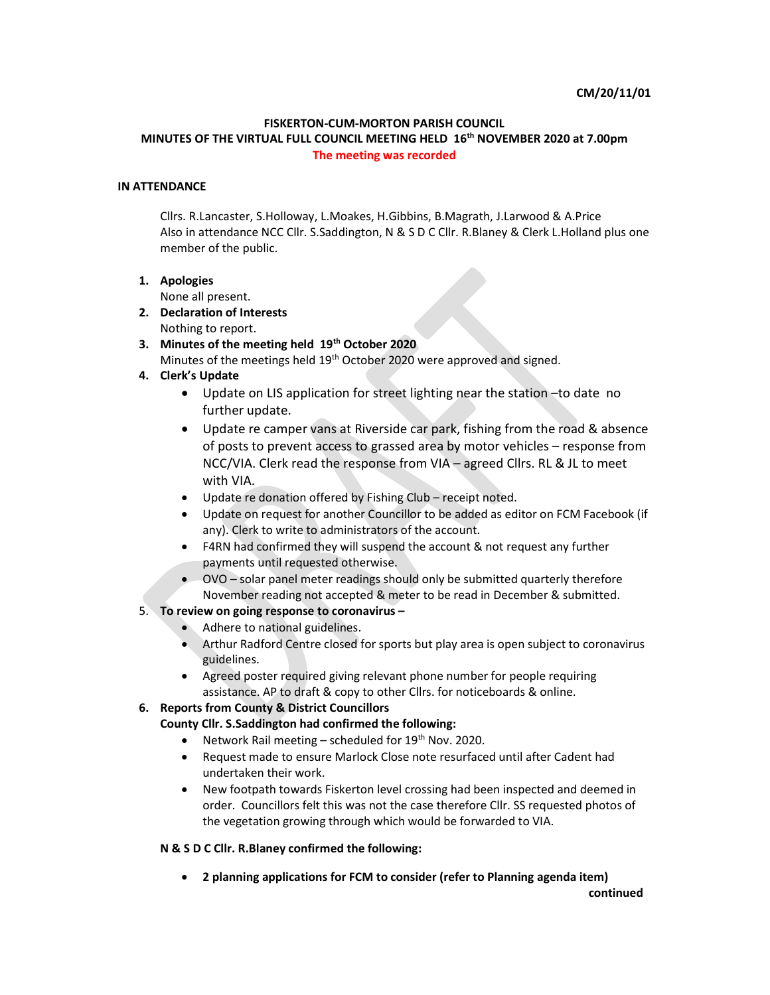#### FISKERTON-CUM-MORTON PARISH COUNCIL

### MINUTES OF THE VIRTUAL FULL COUNCIL MEETING HELD 16<sup>th</sup> NOVEMBER 2020 at 7.00pm The meeting was recorded

## IN ATTENDANCE

Cllrs. R.Lancaster, S.Holloway, L.Moakes, H.Gibbins, B.Magrath, J.Larwood & A.Price Also in attendance NCC Cllr. S.Saddington, N & S D C Cllr. R.Blaney & Clerk L.Holland plus one member of the public.

#### 1. Apologies

None all present.

- 2. Declaration of Interests Nothing to report.
- 3. Minutes of the meeting held 19<sup>th</sup> October 2020

Minutes of the meetings held 19<sup>th</sup> October 2020 were approved and signed.

- 4. Clerk's Update
	- Update on LIS application for street lighting near the station –to date no further update.
	- Update re camper vans at Riverside car park, fishing from the road & absence of posts to prevent access to grassed area by motor vehicles – response from NCC/VIA. Clerk read the response from VIA – agreed Cllrs. RL & JL to meet with VIA.
	- Update re donation offered by Fishing Club receipt noted.
	- Update on request for another Councillor to be added as editor on FCM Facebook (if any). Clerk to write to administrators of the account.
	- F4RN had confirmed they will suspend the account & not request any further payments until requested otherwise.
	- OVO solar panel meter readings should only be submitted quarterly therefore November reading not accepted & meter to be read in December & submitted.

#### 5. To review on going response to coronavirus –

- Adhere to national guidelines.
- Arthur Radford Centre closed for sports but play area is open subject to coronavirus guidelines.
- Agreed poster required giving relevant phone number for people requiring assistance. AP to draft & copy to other Cllrs. for noticeboards & online.

## 6. Reports from County & District Councillors

#### County Cllr. S.Saddington had confirmed the following:

- Network Rail meeting scheduled for  $19<sup>th</sup>$  Nov. 2020.
- Request made to ensure Marlock Close note resurfaced until after Cadent had undertaken their work.
- New footpath towards Fiskerton level crossing had been inspected and deemed in order. Councillors felt this was not the case therefore Cllr. SS requested photos of the vegetation growing through which would be forwarded to VIA.

#### N & S D C Cllr. R.Blaney confirmed the following:

2 planning applications for FCM to consider (refer to Planning agenda item)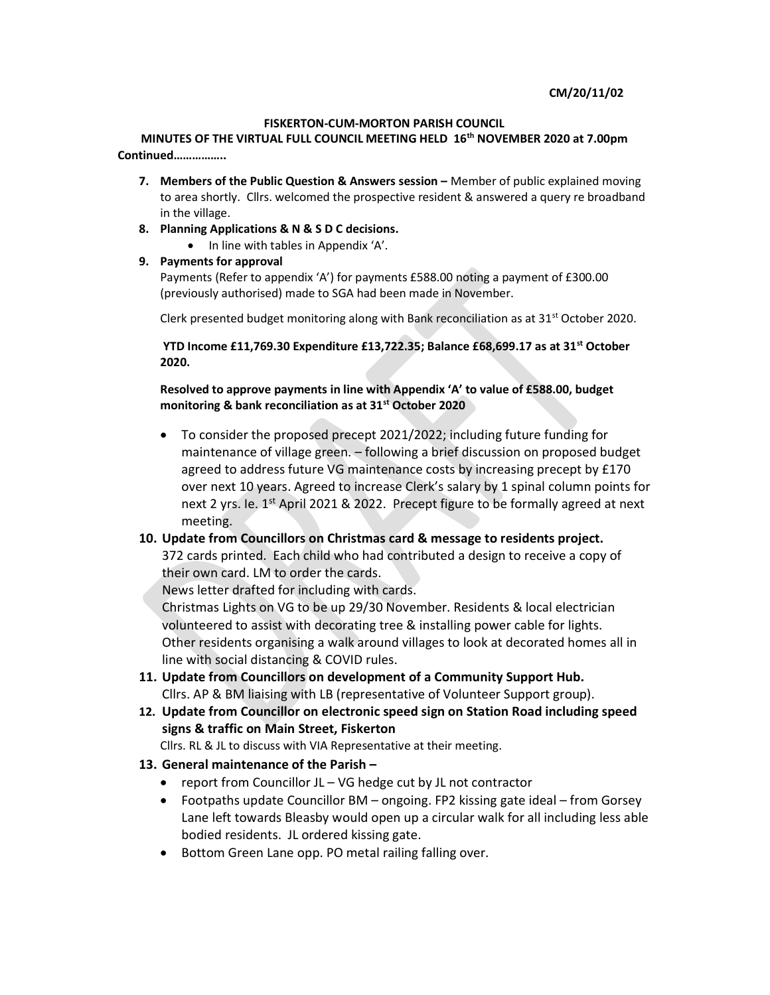#### CM/20/11/02

#### FISKERTON-CUM-MORTON PARISH COUNCIL

MINUTES OF THE VIRTUAL FULL COUNCIL MEETING HELD 16<sup>th</sup> NOVEMBER 2020 at 7.00pm Continued……………..

- 7. Members of the Public Question & Answers session Member of public explained moving to area shortly. Cllrs. welcomed the prospective resident & answered a query re broadband in the village.
- 8. Planning Applications & N & S D C decisions.
	- In line with tables in Appendix 'A'.
- 9. Payments for approval

Payments (Refer to appendix 'A') for payments £588.00 noting a payment of £300.00 (previously authorised) made to SGA had been made in November.

Clerk presented budget monitoring along with Bank reconciliation as at  $31<sup>st</sup>$  October 2020.

YTD Income £11,769.30 Expenditure £13,722.35; Balance £68,699.17 as at 31<sup>st</sup> October 2020.

Resolved to approve payments in line with Appendix 'A' to value of £588.00, budget monitoring & bank reconciliation as at 31<sup>st</sup> October 2020

 To consider the proposed precept 2021/2022; including future funding for maintenance of village green. – following a brief discussion on proposed budget agreed to address future VG maintenance costs by increasing precept by £170 over next 10 years. Agreed to increase Clerk's salary by 1 spinal column points for next 2 yrs. Ie. 1<sup>st</sup> April 2021 & 2022. Precept figure to be formally agreed at next meeting.

# 10. Update from Councillors on Christmas card & message to residents project.

372 cards printed. Each child who had contributed a design to receive a copy of their own card. LM to order the cards.

News letter drafted for including with cards.

Christmas Lights on VG to be up 29/30 November. Residents & local electrician volunteered to assist with decorating tree & installing power cable for lights. Other residents organising a walk around villages to look at decorated homes all in line with social distancing & COVID rules.

- 11. Update from Councillors on development of a Community Support Hub. Cllrs. AP & BM liaising with LB (representative of Volunteer Support group).
- 12. Update from Councillor on electronic speed sign on Station Road including speed signs & traffic on Main Street, Fiskerton
	- Cllrs. RL & JL to discuss with VIA Representative at their meeting.

# 13. General maintenance of the Parish –

- report from Councillor  $JL VG$  hedge cut by  $JL$  not contractor
- Footpaths update Councillor BM ongoing. FP2 kissing gate ideal from Gorsey Lane left towards Bleasby would open up a circular walk for all including less able bodied residents. JL ordered kissing gate.
- Bottom Green Lane opp. PO metal railing falling over.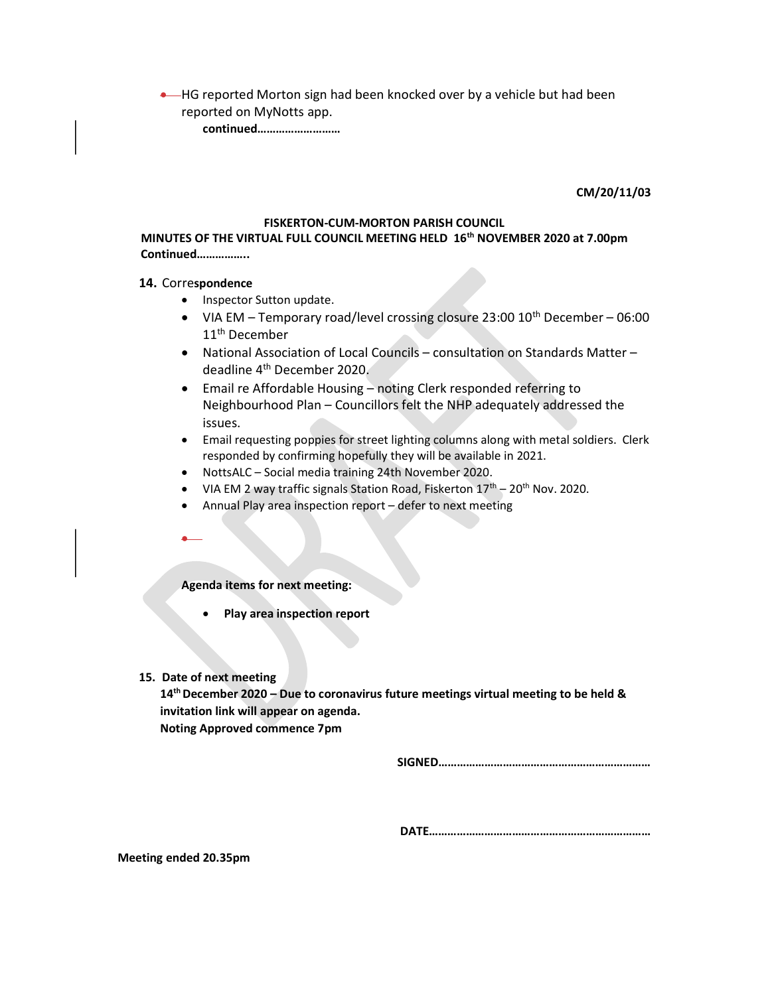**.** HG reported Morton sign had been knocked over by a vehicle but had been reported on MyNotts app.

continued………………………

CM/20/11/03

#### FISKERTON-CUM-MORTON PARISH COUNCIL

## MINUTES OF THE VIRTUAL FULL COUNCIL MEETING HELD 16<sup>th</sup> NOVEMBER 2020 at 7.00pm Continued……………..

#### 14. Correspondence

- Inspector Sutton update.
- VIA EM Temporary road/level crossing closure 23:00  $10^{th}$  December 06:00 11<sup>th</sup> December
- National Association of Local Councils consultation on Standards Matter deadline 4th December 2020.
- Email re Affordable Housing noting Clerk responded referring to Neighbourhood Plan – Councillors felt the NHP adequately addressed the issues.
- Email requesting poppies for street lighting columns along with metal soldiers. Clerk responded by confirming hopefully they will be available in 2021.
- NottsALC Social media training 24th November 2020.
- VIA EM 2 way traffic signals Station Road, Fiskerton  $17<sup>th</sup> 20<sup>th</sup>$  Nov. 2020.
- Annual Play area inspection report defer to next meeting
- $\bullet$

Agenda items for next meeting:

- Play area inspection report
- 15. Date of next meeting

 $14<sup>th</sup>$  December 2020 – Due to coronavirus future meetings virtual meeting to be held & invitation link will appear on agenda. Noting Approved commence 7pm

SIGNED……………………………………………………………

DATE………………………………………………………………

Meeting ended 20.35pm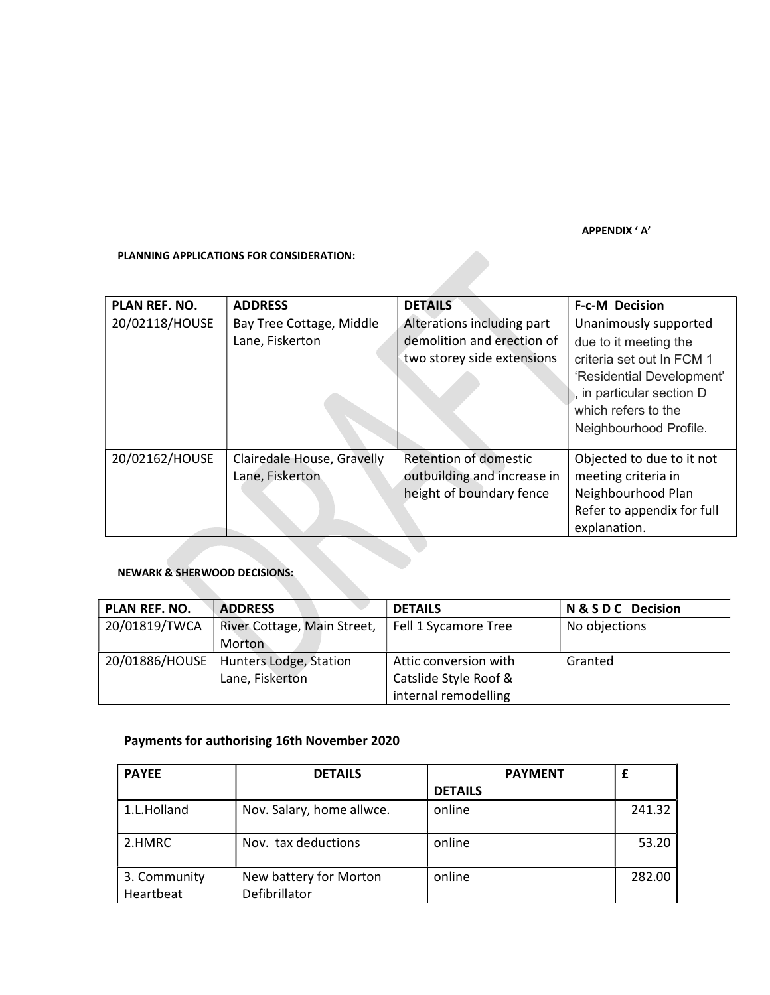APPENDIX ' A'

## PLANNING APPLICATIONS FOR CONSIDERATION:

| <b>PLANNING APPLICATIONS FOR CONSIDERATION:</b> |                                               |                                                                                        |                                                                                                                                                                                        |  |  |  |
|-------------------------------------------------|-----------------------------------------------|----------------------------------------------------------------------------------------|----------------------------------------------------------------------------------------------------------------------------------------------------------------------------------------|--|--|--|
| PLAN REF. NO.                                   | <b>ADDRESS</b>                                | <b>DETAILS</b>                                                                         | <b>F-c-M Decision</b>                                                                                                                                                                  |  |  |  |
| 20/02118/HOUSE                                  | Bay Tree Cottage, Middle<br>Lane, Fiskerton   | Alterations including part<br>demolition and erection of<br>two storey side extensions | Unanimously supported<br>due to it meeting the<br>criteria set out In FCM 1<br>'Residential Development'<br>, in particular section D<br>which refers to the<br>Neighbourhood Profile. |  |  |  |
| 20/02162/HOUSE                                  | Clairedale House, Gravelly<br>Lane, Fiskerton | Retention of domestic<br>outbuilding and increase in<br>height of boundary fence       | Objected to due to it not<br>meeting criteria in<br>Neighbourhood Plan<br>Refer to appendix for full<br>explanation.                                                                   |  |  |  |

## NEWARK & SHERWOOD DECISIONS:

| PLAN REF. NO.  | <b>ADDRESS</b>              | <b>DETAILS</b>        | N & S D C Decision |
|----------------|-----------------------------|-----------------------|--------------------|
| 20/01819/TWCA  | River Cottage, Main Street, | Fell 1 Sycamore Tree  | No objections      |
|                | <b>Morton</b>               |                       |                    |
| 20/01886/HOUSE | Hunters Lodge, Station      | Attic conversion with | Granted            |
|                | Lane, Fiskerton             | Catslide Style Roof & |                    |
|                |                             | internal remodelling  |                    |

# Payments for authorising 16th November 2020

| <b>PAYEE</b> | <b>DETAILS</b>            | <b>PAYMENT</b> |        |
|--------------|---------------------------|----------------|--------|
|              |                           | <b>DETAILS</b> |        |
| 1.L.Holland  | Nov. Salary, home allwce. | online         | 241.32 |
|              |                           |                |        |
| 2.HMRC       | Nov. tax deductions       | online         | 53.20  |
| 3. Community | New battery for Morton    | online         | 282.00 |
| Heartbeat    | Defibrillator             |                |        |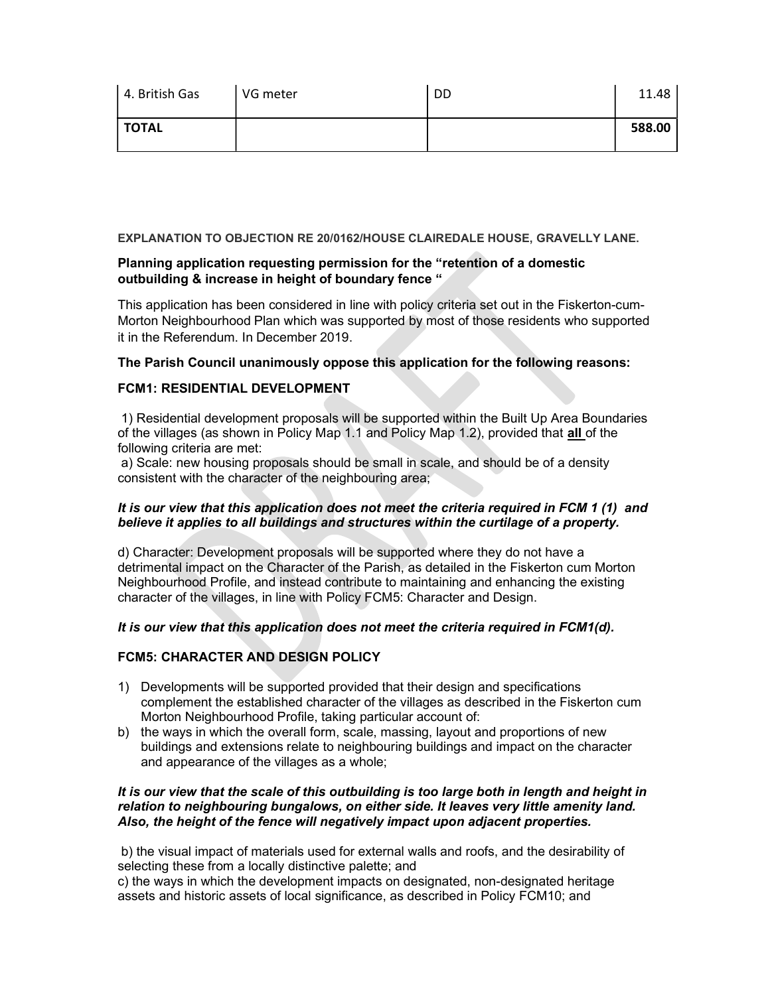| 4. British Gas | VG meter | DD | 11.48  |
|----------------|----------|----|--------|
| <b>TOTAL</b>   |          |    | 588.00 |

## EXPLANATION TO OBJECTION RE 20/0162/HOUSE CLAIREDALE HOUSE, GRAVELLY LANE.

# Planning application requesting permission for the "retention of a domestic outbuilding & increase in height of boundary fence "

This application has been considered in line with policy criteria set out in the Fiskerton-cum-Morton Neighbourhood Plan which was supported by most of those residents who supported it in the Referendum. In December 2019.

## The Parish Council unanimously oppose this application for the following reasons:

# FCM1: RESIDENTIAL DEVELOPMENT

 1) Residential development proposals will be supported within the Built Up Area Boundaries of the villages (as shown in Policy Map 1.1 and Policy Map 1.2), provided that all of the following criteria are met:

 a) Scale: new housing proposals should be small in scale, and should be of a density consistent with the character of the neighbouring area;

## It is our view that this application does not meet the criteria required in FCM 1 (1) and believe it applies to all buildings and structures within the curtilage of a property.

d) Character: Development proposals will be supported where they do not have a detrimental impact on the Character of the Parish, as detailed in the Fiskerton cum Morton Neighbourhood Profile, and instead contribute to maintaining and enhancing the existing character of the villages, in line with Policy FCM5: Character and Design.

## It is our view that this application does not meet the criteria required in FCM1(d).

## FCM5: CHARACTER AND DESIGN POLICY

- 1) Developments will be supported provided that their design and specifications complement the established character of the villages as described in the Fiskerton cum Morton Neighbourhood Profile, taking particular account of:
- b) the ways in which the overall form, scale, massing, layout and proportions of new buildings and extensions relate to neighbouring buildings and impact on the character and appearance of the villages as a whole;

## It is our view that the scale of this outbuilding is too large both in length and height in relation to neighbouring bungalows, on either side. It leaves very little amenity land. Also, the height of the fence will negatively impact upon adjacent properties.

 b) the visual impact of materials used for external walls and roofs, and the desirability of selecting these from a locally distinctive palette; and

c) the ways in which the development impacts on designated, non-designated heritage assets and historic assets of local significance, as described in Policy FCM10; and